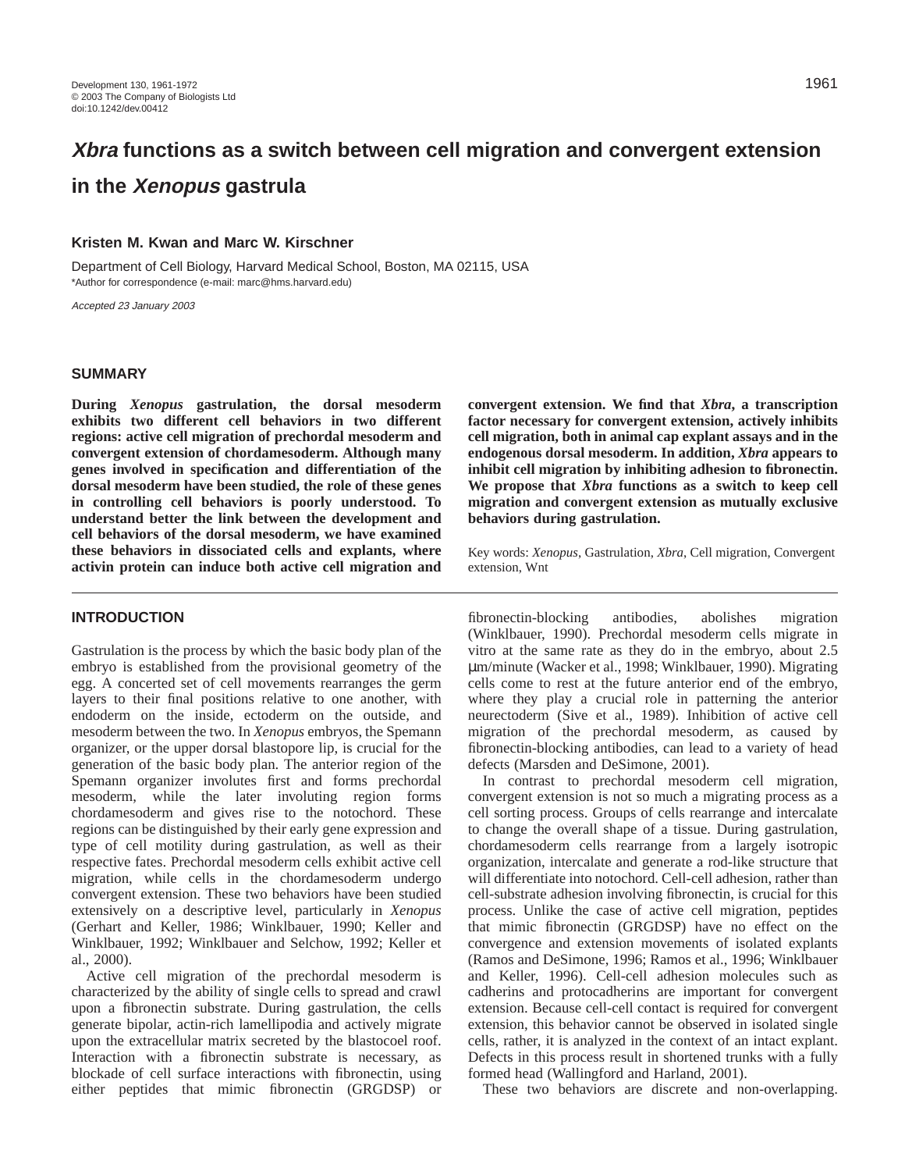# **Xbra functions as a switch between cell migration and convergent extension in the Xenopus gastrula**

## **Kristen M. Kwan and Marc W. Kirschner**

Department of Cell Biology, Harvard Medical School, Boston, MA 02115, USA \*Author for correspondence (e-mail: marc@hms.harvard.edu)

Accepted 23 January 2003

# **SUMMARY**

**During** *Xenopus* **gastrulation, the dorsal mesoderm exhibits two different cell behaviors in two different regions: active cell migration of prechordal mesoderm and convergent extension of chordamesoderm. Although many genes involved in specification and differentiation of the dorsal mesoderm have been studied, the role of these genes in controlling cell behaviors is poorly understood. To understand better the link between the development and cell behaviors of the dorsal mesoderm, we have examined these behaviors in dissociated cells and explants, where activin protein can induce both active cell migration and**

# **INTRODUCTION**

Gastrulation is the process by which the basic body plan of the embryo is established from the provisional geometry of the egg. A concerted set of cell movements rearranges the germ layers to their final positions relative to one another, with endoderm on the inside, ectoderm on the outside, and mesoderm between the two. In *Xenopus* embryos, the Spemann organizer, or the upper dorsal blastopore lip, is crucial for the generation of the basic body plan. The anterior region of the Spemann organizer involutes first and forms prechordal mesoderm, while the later involuting region forms chordamesoderm and gives rise to the notochord. These regions can be distinguished by their early gene expression and type of cell motility during gastrulation, as well as their respective fates. Prechordal mesoderm cells exhibit active cell migration, while cells in the chordamesoderm undergo convergent extension. These two behaviors have been studied extensively on a descriptive level, particularly in *Xenopus* (Gerhart and Keller, 1986; Winklbauer, 1990; Keller and Winklbauer, 1992; Winklbauer and Selchow, 1992; Keller et al., 2000).

Active cell migration of the prechordal mesoderm is characterized by the ability of single cells to spread and crawl upon a fibronectin substrate. During gastrulation, the cells generate bipolar, actin-rich lamellipodia and actively migrate upon the extracellular matrix secreted by the blastocoel roof. Interaction with a fibronectin substrate is necessary, as blockade of cell surface interactions with fibronectin, using either peptides that mimic fibronectin (GRGDSP) or **convergent extension. We find that** *Xbra***, a transcription factor necessary for convergent extension, actively inhibits cell migration, both in animal cap explant assays and in the endogenous dorsal mesoderm. In addition,** *Xbra* **appears to inhibit cell migration by inhibiting adhesion to fibronectin. We propose that** *Xbra* **functions as a switch to keep cell migration and convergent extension as mutually exclusive behaviors during gastrulation.**

Key words: *Xenopus*, Gastrulation, *Xbra*, Cell migration, Convergent extension, Wnt

fibronectin-blocking antibodies, abolishes migration (Winklbauer, 1990). Prechordal mesoderm cells migrate in vitro at the same rate as they do in the embryo, about 2.5 µm/minute (Wacker et al., 1998; Winklbauer, 1990). Migrating cells come to rest at the future anterior end of the embryo, where they play a crucial role in patterning the anterior neurectoderm (Sive et al., 1989). Inhibition of active cell migration of the prechordal mesoderm, as caused by fibronectin-blocking antibodies, can lead to a variety of head defects (Marsden and DeSimone, 2001).

In contrast to prechordal mesoderm cell migration, convergent extension is not so much a migrating process as a cell sorting process. Groups of cells rearrange and intercalate to change the overall shape of a tissue. During gastrulation, chordamesoderm cells rearrange from a largely isotropic organization, intercalate and generate a rod-like structure that will differentiate into notochord. Cell-cell adhesion, rather than cell-substrate adhesion involving fibronectin, is crucial for this process. Unlike the case of active cell migration, peptides that mimic fibronectin (GRGDSP) have no effect on the convergence and extension movements of isolated explants (Ramos and DeSimone, 1996; Ramos et al., 1996; Winklbauer and Keller, 1996). Cell-cell adhesion molecules such as cadherins and protocadherins are important for convergent extension. Because cell-cell contact is required for convergent extension, this behavior cannot be observed in isolated single cells, rather, it is analyzed in the context of an intact explant. Defects in this process result in shortened trunks with a fully formed head (Wallingford and Harland, 2001).

These two behaviors are discrete and non-overlapping.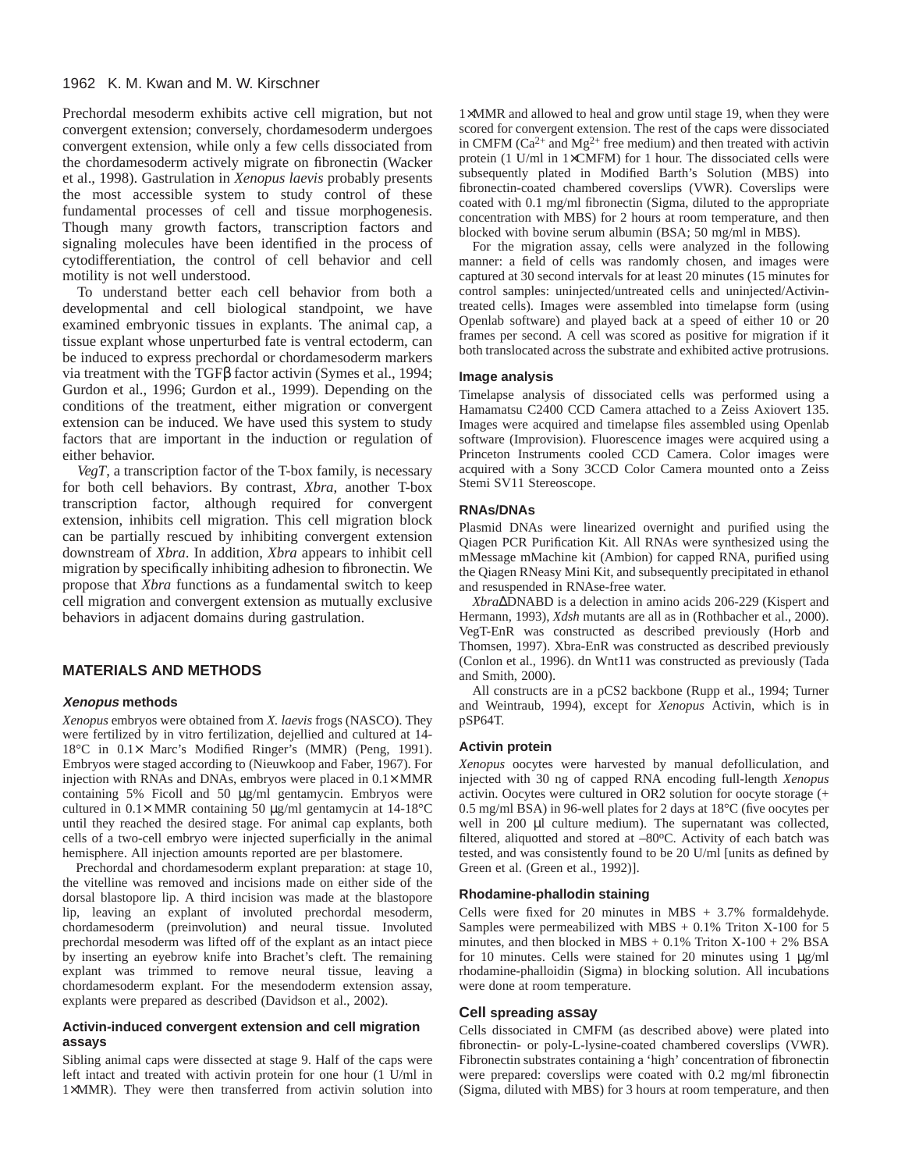Prechordal mesoderm exhibits active cell migration, but not convergent extension; conversely, chordamesoderm undergoes convergent extension, while only a few cells dissociated from the chordamesoderm actively migrate on fibronectin (Wacker et al., 1998). Gastrulation in *Xenopus laevis* probably presents the most accessible system to study control of these fundamental processes of cell and tissue morphogenesis. Though many growth factors, transcription factors and signaling molecules have been identified in the process of cytodifferentiation, the control of cell behavior and cell motility is not well understood.

To understand better each cell behavior from both a developmental and cell biological standpoint, we have examined embryonic tissues in explants. The animal cap, a tissue explant whose unperturbed fate is ventral ectoderm, can be induced to express prechordal or chordamesoderm markers via treatment with the TGFβ factor activin (Symes et al., 1994; Gurdon et al., 1996; Gurdon et al., 1999). Depending on the conditions of the treatment, either migration or convergent extension can be induced. We have used this system to study factors that are important in the induction or regulation of either behavior.

*VegT*, a transcription factor of the T-box family, is necessary for both cell behaviors. By contrast, *Xbra*, another T-box transcription factor, although required for convergent extension, inhibits cell migration. This cell migration block can be partially rescued by inhibiting convergent extension downstream of *Xbra*. In addition, *Xbra* appears to inhibit cell migration by specifically inhibiting adhesion to fibronectin. We propose that *Xbra* functions as a fundamental switch to keep cell migration and convergent extension as mutually exclusive behaviors in adjacent domains during gastrulation.

## **MATERIALS AND METHODS**

#### **Xenopus methods**

*Xenopus* embryos were obtained from *X. laevis* frogs (NASCO). They were fertilized by in vitro fertilization, dejellied and cultured at 14- 18°C in 0.1× Marc's Modified Ringer's (MMR) (Peng, 1991). Embryos were staged according to (Nieuwkoop and Faber, 1967). For injection with RNAs and DNAs, embryos were placed in  $0.1 \times$  MMR containing 5% Ficoll and 50 µg/ml gentamycin. Embryos were cultured in  $0.1 \times$  MMR containing 50  $\mu$ g/ml gentamycin at 14-18 °C until they reached the desired stage. For animal cap explants, both cells of a two-cell embryo were injected superficially in the animal hemisphere. All injection amounts reported are per blastomere.

Prechordal and chordamesoderm explant preparation: at stage 10, the vitelline was removed and incisions made on either side of the dorsal blastopore lip. A third incision was made at the blastopore lip, leaving an explant of involuted prechordal mesoderm, chordamesoderm (preinvolution) and neural tissue. Involuted prechordal mesoderm was lifted off of the explant as an intact piece by inserting an eyebrow knife into Brachet's cleft. The remaining explant was trimmed to remove neural tissue, leaving a chordamesoderm explant. For the mesendoderm extension assay, explants were prepared as described (Davidson et al., 2002).

#### **Activin-induced convergent extension and cell migration assays**

Sibling animal caps were dissected at stage 9. Half of the caps were left intact and treated with activin protein for one hour (1 U/ml in 1×MMR). They were then transferred from activin solution into

1×MMR and allowed to heal and grow until stage 19, when they were scored for convergent extension. The rest of the caps were dissociated in CMFM ( $Ca^{2+}$  and Mg<sup>2+</sup> free medium) and then treated with activin protein (1 U/ml in 1×CMFM) for 1 hour. The dissociated cells were subsequently plated in Modified Barth's Solution (MBS) into fibronectin-coated chambered coverslips (VWR). Coverslips were coated with 0.1 mg/ml fibronectin (Sigma, diluted to the appropriate concentration with MBS) for 2 hours at room temperature, and then blocked with bovine serum albumin (BSA; 50 mg/ml in MBS).

For the migration assay, cells were analyzed in the following manner: a field of cells was randomly chosen, and images were captured at 30 second intervals for at least 20 minutes (15 minutes for control samples: uninjected/untreated cells and uninjected/Activintreated cells). Images were assembled into timelapse form (using Openlab software) and played back at a speed of either 10 or 20 frames per second. A cell was scored as positive for migration if it both translocated across the substrate and exhibited active protrusions.

#### **Image analysis**

Timelapse analysis of dissociated cells was performed using a Hamamatsu C2400 CCD Camera attached to a Zeiss Axiovert 135. Images were acquired and timelapse files assembled using Openlab software (Improvision). Fluorescence images were acquired using a Princeton Instruments cooled CCD Camera. Color images were acquired with a Sony 3CCD Color Camera mounted onto a Zeiss Stemi SV11 Stereoscope.

## **RNAs/DNAs**

Plasmid DNAs were linearized overnight and purified using the Qiagen PCR Purification Kit. All RNAs were synthesized using the mMessage mMachine kit (Ambion) for capped RNA, purified using the Qiagen RNeasy Mini Kit, and subsequently precipitated in ethanol and resuspended in RNAse-free water.

*Xbra*∆DNABD is a delection in amino acids 206-229 (Kispert and Hermann, 1993), *Xdsh* mutants are all as in (Rothbacher et al., 2000). VegT-EnR was constructed as described previously (Horb and Thomsen, 1997). Xbra-EnR was constructed as described previously (Conlon et al., 1996). dn Wnt11 was constructed as previously (Tada and Smith, 2000).

All constructs are in a pCS2 backbone (Rupp et al., 1994; Turner and Weintraub, 1994), except for *Xenopus* Activin, which is in pSP64T.

#### **Activin protein**

*Xenopus* oocytes were harvested by manual defolliculation, and injected with 30 ng of capped RNA encoding full-length *Xenopus* activin. Oocytes were cultured in OR2 solution for oocyte storage (+ 0.5 mg/ml BSA) in 96-well plates for 2 days at 18°C (five oocytes per well in 200 µl culture medium). The supernatant was collected, filtered, aliquotted and stored at  $-80^{\circ}$ C. Activity of each batch was tested, and was consistently found to be 20 U/ml [units as defined by Green et al. (Green et al., 1992)].

#### **Rhodamine-phallodin staining**

Cells were fixed for 20 minutes in MBS  $+ 3.7\%$  formaldehyde. Samples were permeabilized with MBS  $+$  0.1% Triton X-100 for 5 minutes, and then blocked in MBS + 0.1% Triton X-100 + 2% BSA for 10 minutes. Cells were stained for 20 minutes using 1 µg/ml rhodamine-phalloidin (Sigma) in blocking solution. All incubations were done at room temperature.

#### **Cell spreading assay**

Cells dissociated in CMFM (as described above) were plated into fibronectin- or poly-L-lysine-coated chambered coverslips (VWR). Fibronectin substrates containing a 'high' concentration of fibronectin were prepared: coverslips were coated with 0.2 mg/ml fibronectin (Sigma, diluted with MBS) for 3 hours at room temperature, and then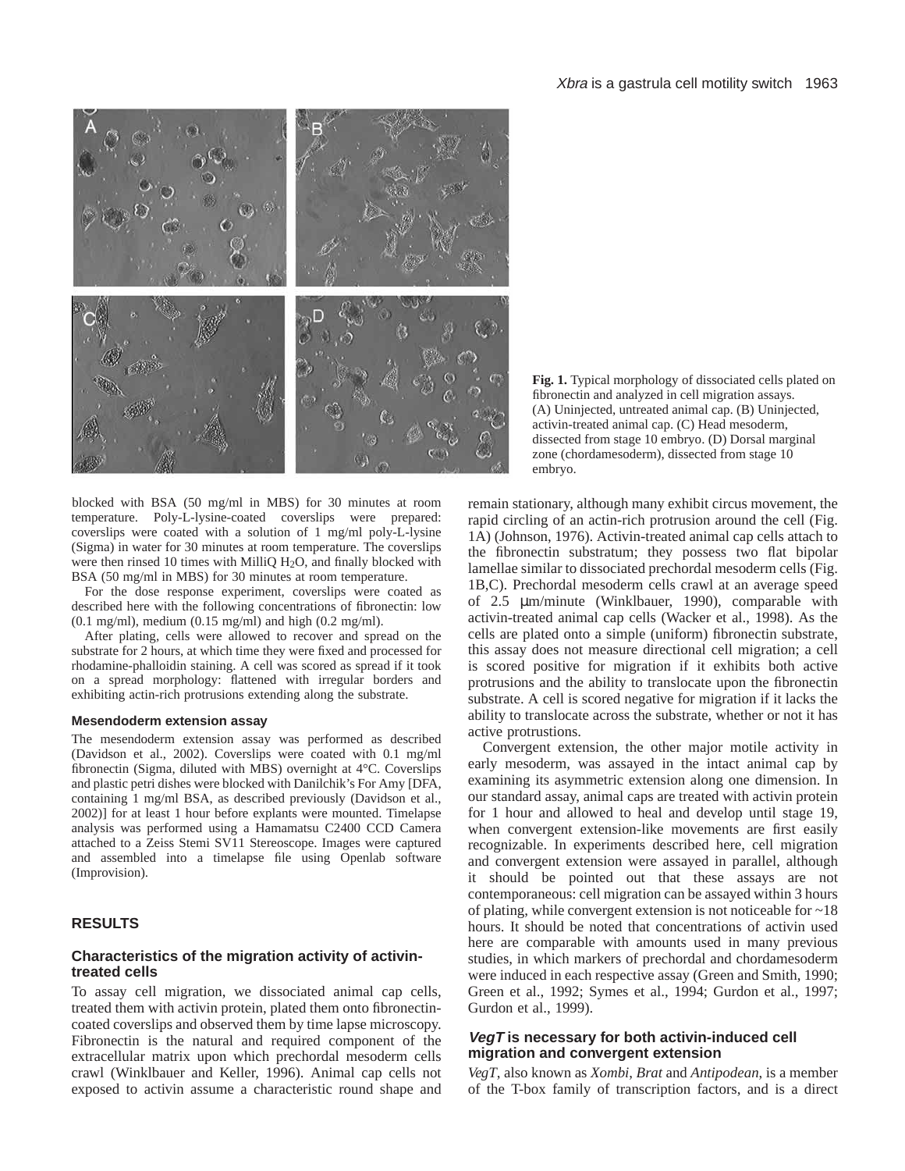

**Fig. 1.** Typical morphology of dissociated cells plated on fibronectin and analyzed in cell migration assays. (A) Uninjected, untreated animal cap. (B) Uninjected, activin-treated animal cap. (C) Head mesoderm, dissected from stage 10 embryo. (D) Dorsal marginal zone (chordamesoderm), dissected from stage 10 embryo.

blocked with BSA (50 mg/ml in MBS) for 30 minutes at room temperature. Poly-L-lysine-coated coverslips were prepared: coverslips were coated with a solution of 1 mg/ml poly-L-lysine (Sigma) in water for 30 minutes at room temperature. The coverslips were then rinsed 10 times with MilliQ H<sub>2</sub>O, and finally blocked with BSA (50 mg/ml in MBS) for 30 minutes at room temperature.

For the dose response experiment, coverslips were coated as described here with the following concentrations of fibronectin: low  $(0.1 \text{ mg/ml})$ , medium  $(0.15 \text{ mg/ml})$  and high  $(0.2 \text{ mg/ml})$ .

After plating, cells were allowed to recover and spread on the substrate for 2 hours, at which time they were fixed and processed for rhodamine-phalloidin staining. A cell was scored as spread if it took on a spread morphology: flattened with irregular borders and exhibiting actin-rich protrusions extending along the substrate.

#### **Mesendoderm extension assay**

The mesendoderm extension assay was performed as described (Davidson et al., 2002). Coverslips were coated with 0.1 mg/ml fibronectin (Sigma, diluted with MBS) overnight at 4°C. Coverslips and plastic petri dishes were blocked with Danilchik's For Amy [DFA, containing 1 mg/ml BSA, as described previously (Davidson et al., 2002)] for at least 1 hour before explants were mounted. Timelapse analysis was performed using a Hamamatsu C2400 CCD Camera attached to a Zeiss Stemi SV11 Stereoscope. Images were captured and assembled into a timelapse file using Openlab software (Improvision).

# **RESULTS**

### **Characteristics of the migration activity of activintreated cells**

To assay cell migration, we dissociated animal cap cells, treated them with activin protein, plated them onto fibronectincoated coverslips and observed them by time lapse microscopy. Fibronectin is the natural and required component of the extracellular matrix upon which prechordal mesoderm cells crawl (Winklbauer and Keller, 1996). Animal cap cells not exposed to activin assume a characteristic round shape and remain stationary, although many exhibit circus movement, the rapid circling of an actin-rich protrusion around the cell (Fig. 1A) (Johnson, 1976). Activin-treated animal cap cells attach to the fibronectin substratum; they possess two flat bipolar lamellae similar to dissociated prechordal mesoderm cells (Fig. 1B,C). Prechordal mesoderm cells crawl at an average speed of 2.5 µm/minute (Winklbauer, 1990), comparable with activin-treated animal cap cells (Wacker et al., 1998). As the cells are plated onto a simple (uniform) fibronectin substrate, this assay does not measure directional cell migration; a cell is scored positive for migration if it exhibits both active protrusions and the ability to translocate upon the fibronectin substrate. A cell is scored negative for migration if it lacks the ability to translocate across the substrate, whether or not it has active protrustions.

Convergent extension, the other major motile activity in early mesoderm, was assayed in the intact animal cap by examining its asymmetric extension along one dimension. In our standard assay, animal caps are treated with activin protein for 1 hour and allowed to heal and develop until stage 19, when convergent extension-like movements are first easily recognizable. In experiments described here, cell migration and convergent extension were assayed in parallel, although it should be pointed out that these assays are not contemporaneous: cell migration can be assayed within 3 hours of plating, while convergent extension is not noticeable for ~18 hours. It should be noted that concentrations of activin used here are comparable with amounts used in many previous studies, in which markers of prechordal and chordamesoderm were induced in each respective assay (Green and Smith, 1990; Green et al., 1992; Symes et al., 1994; Gurdon et al., 1997; Gurdon et al., 1999).

# **VegT is necessary for both activin-induced cell migration and convergent extension**

*VegT*, also known as *Xombi*, *Brat* and *Antipodean*, is a member of the T-box family of transcription factors, and is a direct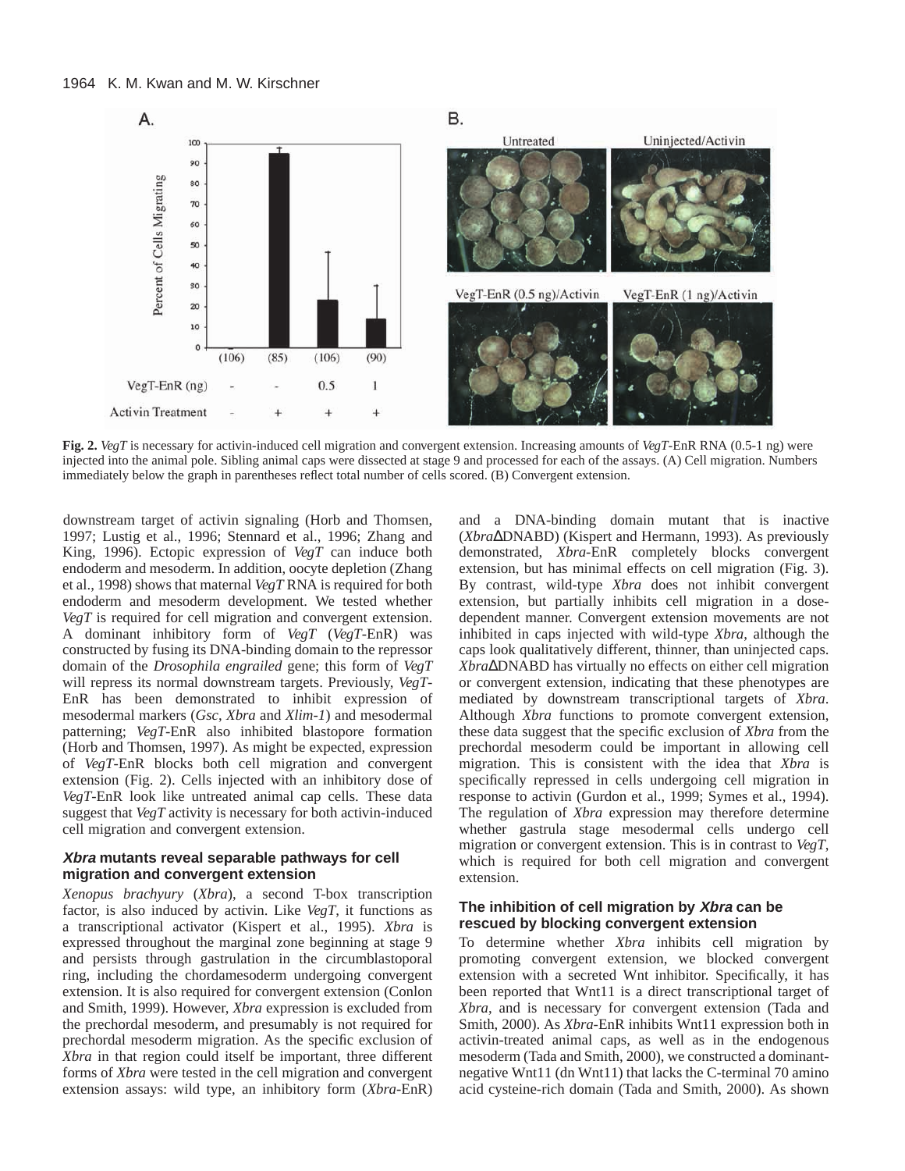

**Fig. 2.** *VegT* is necessary for activin-induced cell migration and convergent extension. Increasing amounts of *VegT*-EnR RNA (0.5-1 ng) were injected into the animal pole. Sibling animal caps were dissected at stage 9 and processed for each of the assays. (A) Cell migration. Numbers immediately below the graph in parentheses reflect total number of cells scored. (B) Convergent extension.

downstream target of activin signaling (Horb and Thomsen, 1997; Lustig et al., 1996; Stennard et al., 1996; Zhang and King, 1996). Ectopic expression of *VegT* can induce both endoderm and mesoderm. In addition, oocyte depletion (Zhang et al., 1998) shows that maternal *VegT* RNA is required for both endoderm and mesoderm development. We tested whether *VegT* is required for cell migration and convergent extension. A dominant inhibitory form of *VegT* (*VegT*-EnR) was constructed by fusing its DNA-binding domain to the repressor domain of the *Drosophila engrailed* gene; this form of *VegT* will repress its normal downstream targets. Previously, *VegT*-EnR has been demonstrated to inhibit expression of mesodermal markers (*Gsc*, *Xbra* and *Xlim-1*) and mesodermal patterning; *VegT*-EnR also inhibited blastopore formation (Horb and Thomsen, 1997). As might be expected, expression of *VegT*-EnR blocks both cell migration and convergent extension (Fig. 2). Cells injected with an inhibitory dose of *VegT*-EnR look like untreated animal cap cells. These data suggest that *VegT* activity is necessary for both activin-induced cell migration and convergent extension.

#### **Xbra mutants reveal separable pathways for cell migration and convergent extension**

*Xenopus brachyury* (*Xbra*), a second T-box transcription factor, is also induced by activin. Like *VegT*, it functions as a transcriptional activator (Kispert et al., 1995). *Xbra* is expressed throughout the marginal zone beginning at stage 9 and persists through gastrulation in the circumblastoporal ring, including the chordamesoderm undergoing convergent extension. It is also required for convergent extension (Conlon and Smith, 1999). However, *Xbra* expression is excluded from the prechordal mesoderm, and presumably is not required for prechordal mesoderm migration. As the specific exclusion of *Xbra* in that region could itself be important, three different forms of *Xbra* were tested in the cell migration and convergent extension assays: wild type, an inhibitory form (*Xbra*-EnR) and a DNA-binding domain mutant that is inactive (*Xbra*∆DNABD) (Kispert and Hermann, 1993). As previously demonstrated, *Xbra*-EnR completely blocks convergent extension, but has minimal effects on cell migration (Fig. 3). By contrast, wild-type *Xbra* does not inhibit convergent extension, but partially inhibits cell migration in a dosedependent manner. Convergent extension movements are not inhibited in caps injected with wild-type *Xbra*, although the caps look qualitatively different, thinner, than uninjected caps. *Xbra*∆DNABD has virtually no effects on either cell migration or convergent extension, indicating that these phenotypes are mediated by downstream transcriptional targets of *Xbra*. Although *Xbra* functions to promote convergent extension, these data suggest that the specific exclusion of *Xbra* from the prechordal mesoderm could be important in allowing cell migration. This is consistent with the idea that *Xbra* is specifically repressed in cells undergoing cell migration in response to activin (Gurdon et al., 1999; Symes et al., 1994). The regulation of *Xbra* expression may therefore determine whether gastrula stage mesodermal cells undergo cell migration or convergent extension. This is in contrast to *VegT*, which is required for both cell migration and convergent extension.

## **The inhibition of cell migration by Xbra can be rescued by blocking convergent extension**

To determine whether *Xbra* inhibits cell migration by promoting convergent extension, we blocked convergent extension with a secreted Wnt inhibitor. Specifically, it has been reported that Wnt11 is a direct transcriptional target of *Xbra*, and is necessary for convergent extension (Tada and Smith, 2000). As *Xbra*-EnR inhibits Wnt11 expression both in activin-treated animal caps, as well as in the endogenous mesoderm (Tada and Smith, 2000), we constructed a dominantnegative Wnt11 (dn Wnt11) that lacks the C-terminal 70 amino acid cysteine-rich domain (Tada and Smith, 2000). As shown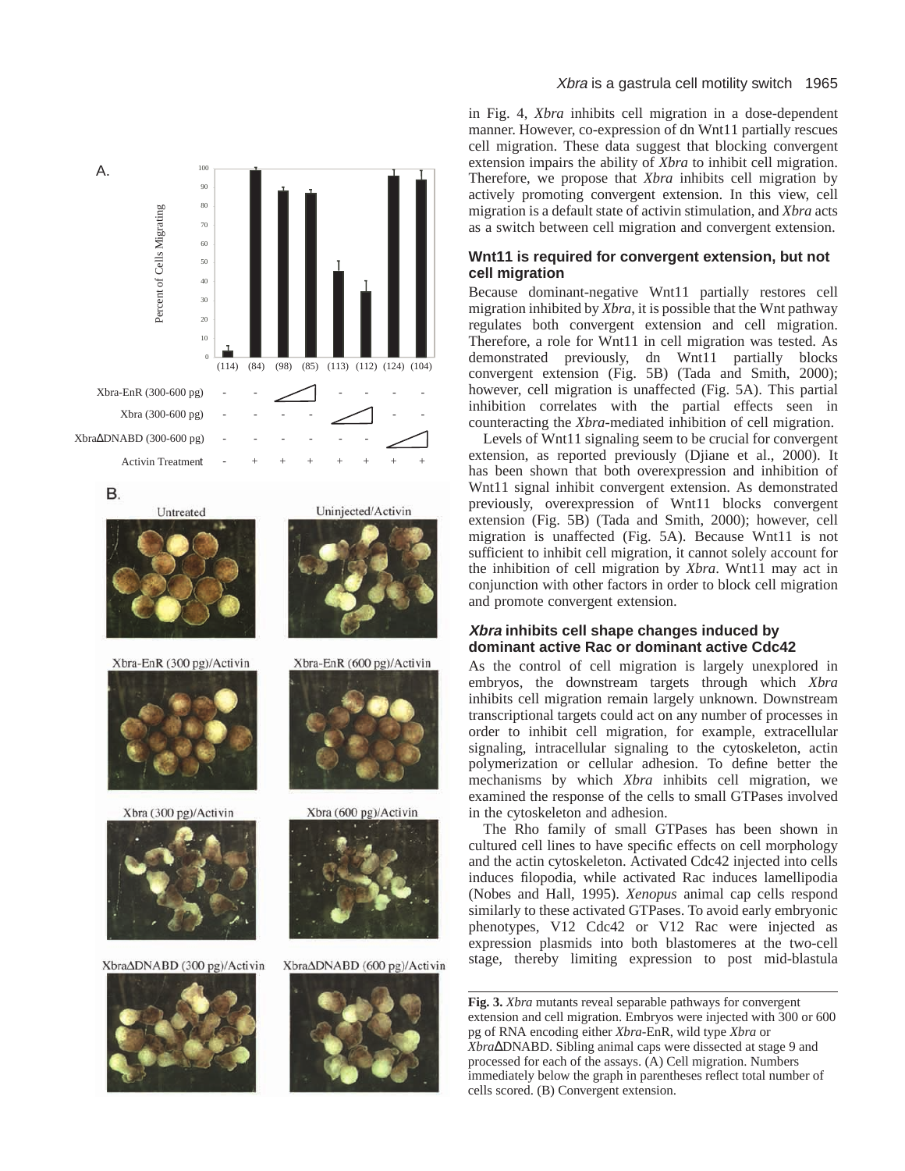

B.



Xbra-EnR (300 pg)/Activin



Xbra (300 pg)/Activin



Xbra∆DNABD (300 pg)/Activin





Xbra-EnR (600 pg)/Activin



Xbra (600 pg)/Activin



Xbra∆DNABD (600 pg)/Activin



in Fig. 4, *Xbra* inhibits cell migration in a dose-dependent manner. However, co-expression of dn Wnt11 partially rescues cell migration. These data suggest that blocking convergent extension impairs the ability of *Xbra* to inhibit cell migration. Therefore, we propose that *Xbra* inhibits cell migration by actively promoting convergent extension. In this view, cell migration is a default state of activin stimulation, and *Xbra* acts as a switch between cell migration and convergent extension.

# **Wnt11 is required for convergent extension, but not cell migration**

Because dominant-negative Wnt11 partially restores cell migration inhibited by *Xbra*, it is possible that the Wnt pathway regulates both convergent extension and cell migration. Therefore, a role for Wnt11 in cell migration was tested. As demonstrated previously, dn Wnt11 partially blocks convergent extension (Fig. 5B) (Tada and Smith, 2000); however, cell migration is unaffected (Fig. 5A). This partial inhibition correlates with the partial effects seen in counteracting the *Xbra*-mediated inhibition of cell migration.

Levels of Wnt11 signaling seem to be crucial for convergent extension, as reported previously (Djiane et al., 2000). It has been shown that both overexpression and inhibition of Wnt11 signal inhibit convergent extension. As demonstrated previously, overexpression of Wnt11 blocks convergent extension (Fig. 5B) (Tada and Smith, 2000); however, cell migration is unaffected (Fig. 5A). Because Wnt11 is not sufficient to inhibit cell migration, it cannot solely account for the inhibition of cell migration by *Xbra*. Wnt11 may act in conjunction with other factors in order to block cell migration and promote convergent extension.

## **Xbra inhibits cell shape changes induced by dominant active Rac or dominant active Cdc42**

As the control of cell migration is largely unexplored in embryos, the downstream targets through which *Xbra* inhibits cell migration remain largely unknown. Downstream transcriptional targets could act on any number of processes in order to inhibit cell migration, for example, extracellular signaling, intracellular signaling to the cytoskeleton, actin polymerization or cellular adhesion. To define better the mechanisms by which *Xbra* inhibits cell migration, we examined the response of the cells to small GTPases involved in the cytoskeleton and adhesion.

The Rho family of small GTPases has been shown in cultured cell lines to have specific effects on cell morphology and the actin cytoskeleton. Activated Cdc42 injected into cells induces filopodia, while activated Rac induces lamellipodia (Nobes and Hall, 1995). *Xenopus* animal cap cells respond similarly to these activated GTPases. To avoid early embryonic phenotypes, V12 Cdc42 or V12 Rac were injected as expression plasmids into both blastomeres at the two-cell stage, thereby limiting expression to post mid-blastula

**Fig. 3.** *Xbra* mutants reveal separable pathways for convergent extension and cell migration. Embryos were injected with 300 or 600 pg of RNA encoding either *Xbra*-EnR, wild type *Xbra* or *Xbra*∆DNABD. Sibling animal caps were dissected at stage 9 and processed for each of the assays. (A) Cell migration. Numbers immediately below the graph in parentheses reflect total number of cells scored. (B) Convergent extension.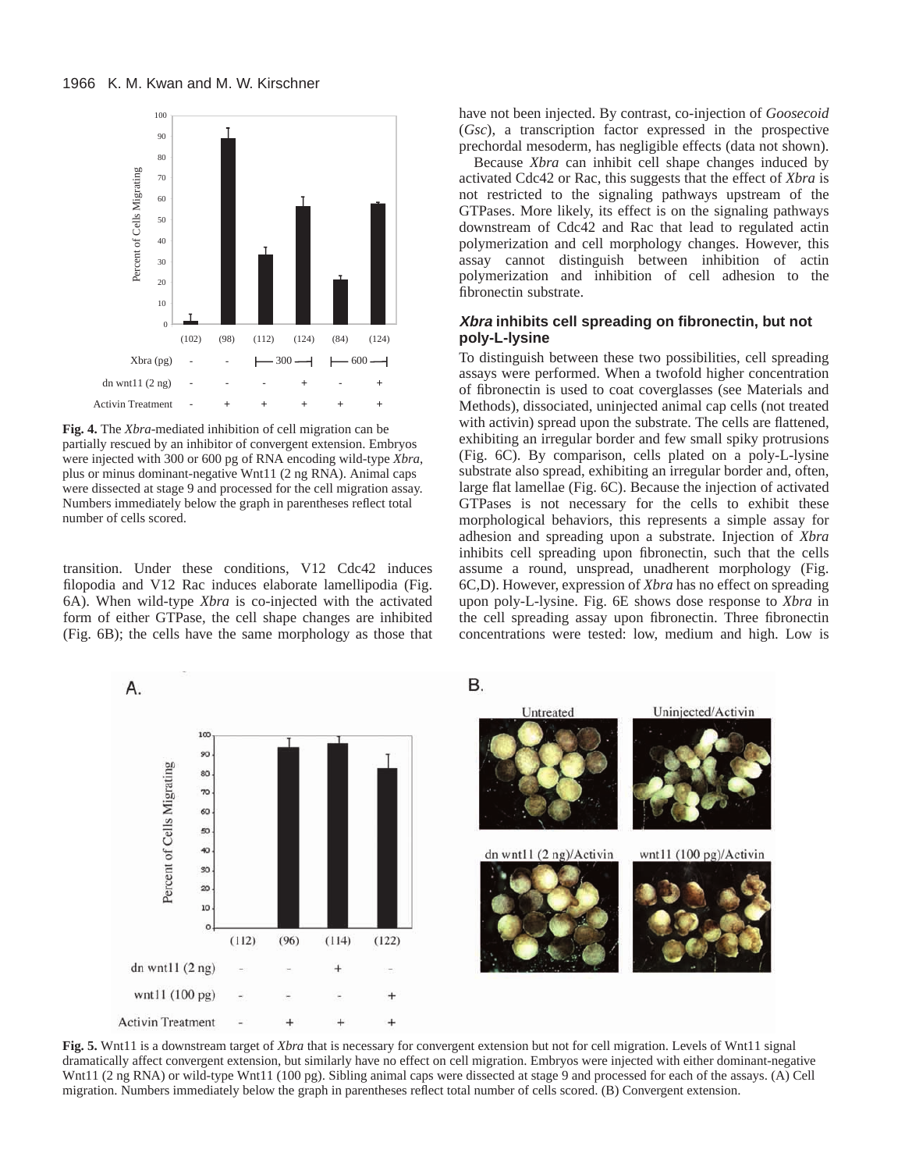

**Fig. 4.** The *Xbra*-mediated inhibition of cell migration can be partially rescued by an inhibitor of convergent extension. Embryos were injected with 300 or 600 pg of RNA encoding wild-type *Xbra*, plus or minus dominant-negative Wnt11 (2 ng RNA). Animal caps were dissected at stage 9 and processed for the cell migration assay. Numbers immediately below the graph in parentheses reflect total number of cells scored.

transition. Under these conditions, V12 Cdc42 induces filopodia and V12 Rac induces elaborate lamellipodia (Fig. 6A). When wild-type *Xbra* is co-injected with the activated form of either GTPase, the cell shape changes are inhibited (Fig. 6B); the cells have the same morphology as those that have not been injected. By contrast, co-injection of *Goosecoid* (*Gsc*), a transcription factor expressed in the prospective prechordal mesoderm, has negligible effects (data not shown).

Because *Xbra* can inhibit cell shape changes induced by activated Cdc42 or Rac, this suggests that the effect of *Xbra* is not restricted to the signaling pathways upstream of the GTPases. More likely, its effect is on the signaling pathways downstream of Cdc42 and Rac that lead to regulated actin polymerization and cell morphology changes. However, this assay cannot distinguish between inhibition of actin polymerization and inhibition of cell adhesion to the fibronectin substrate.

# **Xbra inhibits cell spreading on fibronectin, but not poly-L-lysine**

To distinguish between these two possibilities, cell spreading assays were performed. When a twofold higher concentration of fibronectin is used to coat coverglasses (see Materials and Methods), dissociated, uninjected animal cap cells (not treated with activin) spread upon the substrate. The cells are flattened, exhibiting an irregular border and few small spiky protrusions (Fig. 6C). By comparison, cells plated on a poly-L-lysine substrate also spread, exhibiting an irregular border and, often, large flat lamellae (Fig. 6C). Because the injection of activated GTPases is not necessary for the cells to exhibit these morphological behaviors, this represents a simple assay for adhesion and spreading upon a substrate. Injection of *Xbra* inhibits cell spreading upon fibronectin, such that the cells assume a round, unspread, unadherent morphology (Fig. 6C,D). However, expression of *Xbra* has no effect on spreading upon poly-L-lysine. Fig. 6E shows dose response to *Xbra* in the cell spreading assay upon fibronectin. Three fibronectin concentrations were tested: low, medium and high. Low is



**Fig. 5.** Wnt11 is a downstream target of *Xbra* that is necessary for convergent extension but not for cell migration. Levels of Wnt11 signal dramatically affect convergent extension, but similarly have no effect on cell migration. Embryos were injected with either dominant-negative Wnt11 (2 ng RNA) or wild-type Wnt11 (100 pg). Sibling animal caps were dissected at stage 9 and processed for each of the assays. (A) Cell migration. Numbers immediately below the graph in parentheses reflect total number of cells scored. (B) Convergent extension.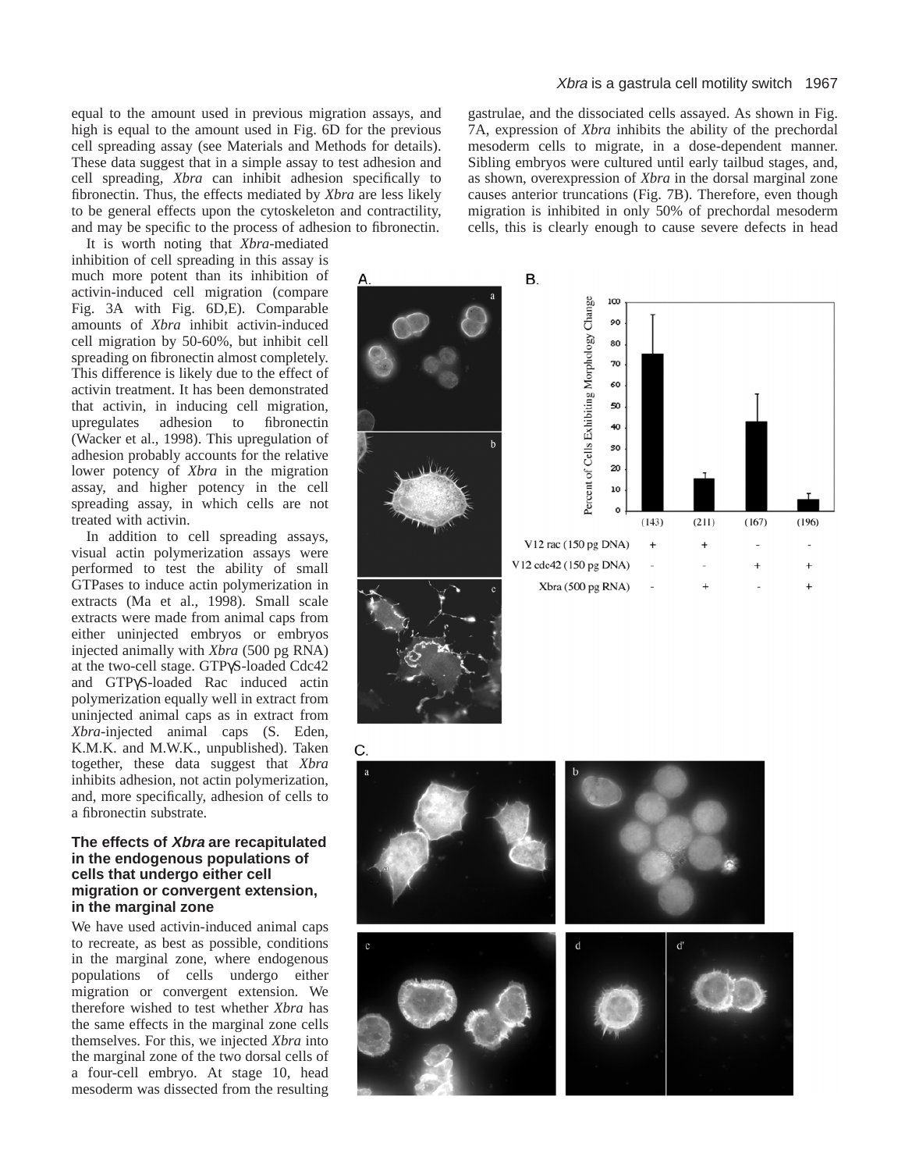equal to the amount used in previous migration assays, and high is equal to the amount used in Fig. 6D for the previous cell spreading assay (see Materials and Methods for details). These data suggest that in a simple assay to test adhesion and cell spreading, *Xbra* can inhibit adhesion specifically to fibronectin. Thus, the effects mediated by *Xbra* are less likely to be general effects upon the cytoskeleton and contractility, and may be specific to the process of adhesion to fibronectin.

It is worth noting that *Xbra*-mediated inhibition of cell spreading in this assay is much more potent than its inhibition of activin-induced cell migration (compare Fig. 3A with Fig. 6D,E). Comparable amounts of *Xbra* inhibit activin-induced cell migration by 50-60%, but inhibit cell spreading on fibronectin almost completely. This difference is likely due to the effect of activin treatment. It has been demonstrated that activin, in inducing cell migration, upregulates adhesion to fibronectin (Wacker et al., 1998). This upregulation of adhesion probably accounts for the relative lower potency of *Xbra* in the migration assay, and higher potency in the cell spreading assay, in which cells are not treated with activin.

In addition to cell spreading assays, visual actin polymerization assays were performed to test the ability of small GTPases to induce actin polymerization in extracts (Ma et al., 1998). Small scale extracts were made from animal caps from either uninjected embryos or embryos injected animally with *Xbra* (500 pg RNA) at the two-cell stage. GTPγS-loaded Cdc42 and GTPγS-loaded Rac induced actin polymerization equally well in extract from uninjected animal caps as in extract from *Xbra*-injected animal caps (S. Eden, K.M.K. and M.W.K., unpublished). Taken together, these data suggest that *Xbra* inhibits adhesion, not actin polymerization, and, more specifically, adhesion of cells to a fibronectin substrate.

## **The effects of Xbra are recapitulated in the endogenous populations of cells that undergo either cell migration or convergent extension, in the marginal zone**

We have used activin-induced animal caps to recreate, as best as possible, conditions in the marginal zone, where endogenous populations of cells undergo either migration or convergent extension. We therefore wished to test whether *Xbra* has the same effects in the marginal zone cells themselves. For this, we injected *Xbra* into the marginal zone of the two dorsal cells of a four-cell embryo. At stage 10, head mesoderm was dissected from the resulting

gastrulae, and the dissociated cells assayed. As shown in Fig. 7A, expression of *Xbra* inhibits the ability of the prechordal mesoderm cells to migrate, in a dose-dependent manner. Sibling embryos were cultured until early tailbud stages, and, as shown, overexpression of *Xbra* in the dorsal marginal zone causes anterior truncations (Fig. 7B). Therefore, even though migration is inhibited in only 50% of prechordal mesoderm cells, this is clearly enough to cause severe defects in head

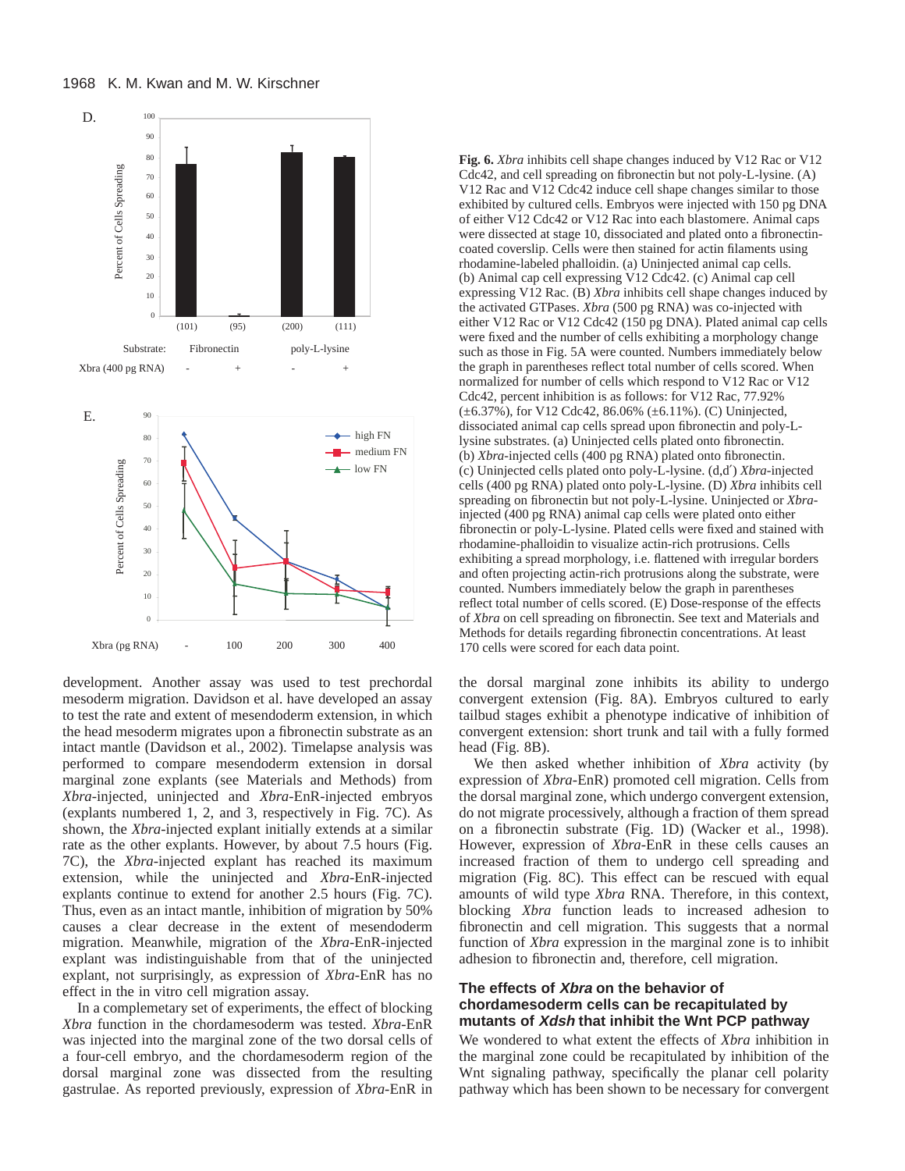

development. Another assay was used to test prechordal mesoderm migration. Davidson et al. have developed an assay to test the rate and extent of mesendoderm extension, in which the head mesoderm migrates upon a fibronectin substrate as an intact mantle (Davidson et al., 2002). Timelapse analysis was performed to compare mesendoderm extension in dorsal marginal zone explants (see Materials and Methods) from *Xbra*-injected, uninjected and *Xbra*-EnR-injected embryos (explants numbered 1, 2, and 3, respectively in Fig. 7C). As shown, the *Xbra*-injected explant initially extends at a similar rate as the other explants. However, by about 7.5 hours (Fig. 7C), the *Xbra*-injected explant has reached its maximum extension, while the uninjected and *Xbra*-EnR-injected explants continue to extend for another 2.5 hours (Fig. 7C). Thus, even as an intact mantle, inhibition of migration by 50% causes a clear decrease in the extent of mesendoderm migration. Meanwhile, migration of the *Xbra*-EnR-injected explant was indistinguishable from that of the uninjected explant, not surprisingly, as expression of *Xbra*-EnR has no effect in the in vitro cell migration assay.

In a complemetary set of experiments, the effect of blocking *Xbra* function in the chordamesoderm was tested. *Xbra*-EnR was injected into the marginal zone of the two dorsal cells of a four-cell embryo, and the chordamesoderm region of the dorsal marginal zone was dissected from the resulting gastrulae. As reported previously, expression of *Xbra*-EnR in **Fig. 6.** *Xbra* inhibits cell shape changes induced by V12 Rac or V12 Cdc42, and cell spreading on fibronectin but not poly-L-lysine. (A) V12 Rac and V12 Cdc42 induce cell shape changes similar to those exhibited by cultured cells. Embryos were injected with 150 pg DNA of either V12 Cdc42 or V12 Rac into each blastomere. Animal caps were dissected at stage 10, dissociated and plated onto a fibronectincoated coverslip. Cells were then stained for actin filaments using rhodamine-labeled phalloidin. (a) Uninjected animal cap cells. (b) Animal cap cell expressing V12 Cdc42. (c) Animal cap cell expressing V12 Rac. (B) *Xbra* inhibits cell shape changes induced by the activated GTPases. *Xbra* (500 pg RNA) was co-injected with either V12 Rac or V12 Cdc42 (150 pg DNA). Plated animal cap cells were fixed and the number of cells exhibiting a morphology change such as those in Fig. 5A were counted. Numbers immediately below the graph in parentheses reflect total number of cells scored. When normalized for number of cells which respond to V12 Rac or V12 Cdc42, percent inhibition is as follows: for V12 Rac, 77.92% (±6.37%), for V12 Cdc42, 86.06% (±6.11%). (C) Uninjected, dissociated animal cap cells spread upon fibronectin and poly-Llysine substrates. (a) Uninjected cells plated onto fibronectin. (b) *Xbra*-injected cells (400 pg RNA) plated onto fibronectin. (c) Uninjected cells plated onto poly-L-lysine. (d,d′) *Xbra*-injected cells (400 pg RNA) plated onto poly-L-lysine. (D) *Xbra* inhibits cell spreading on fibronectin but not poly-L-lysine. Uninjected or *Xbra*injected (400 pg RNA) animal cap cells were plated onto either fibronectin or poly-L-lysine. Plated cells were fixed and stained with rhodamine-phalloidin to visualize actin-rich protrusions. Cells exhibiting a spread morphology, i.e. flattened with irregular borders and often projecting actin-rich protrusions along the substrate, were counted. Numbers immediately below the graph in parentheses reflect total number of cells scored. (E) Dose-response of the effects of *Xbra* on cell spreading on fibronectin. See text and Materials and Methods for details regarding fibronectin concentrations. At least 170 cells were scored for each data point.

the dorsal marginal zone inhibits its ability to undergo convergent extension (Fig. 8A). Embryos cultured to early tailbud stages exhibit a phenotype indicative of inhibition of convergent extension: short trunk and tail with a fully formed head (Fig. 8B).

We then asked whether inhibition of *Xbra* activity (by expression of *Xbra*-EnR) promoted cell migration. Cells from the dorsal marginal zone, which undergo convergent extension, do not migrate processively, although a fraction of them spread on a fibronectin substrate (Fig. 1D) (Wacker et al., 1998). However, expression of *Xbra*-EnR in these cells causes an increased fraction of them to undergo cell spreading and migration (Fig. 8C). This effect can be rescued with equal amounts of wild type *Xbra* RNA. Therefore, in this context, blocking *Xbra* function leads to increased adhesion to fibronectin and cell migration. This suggests that a normal function of *Xbra* expression in the marginal zone is to inhibit adhesion to fibronectin and, therefore, cell migration.

## **The effects of Xbra on the behavior of chordamesoderm cells can be recapitulated by mutants of Xdsh that inhibit the Wnt PCP pathway**

We wondered to what extent the effects of *Xbra* inhibition in the marginal zone could be recapitulated by inhibition of the Wnt signaling pathway, specifically the planar cell polarity pathway which has been shown to be necessary for convergent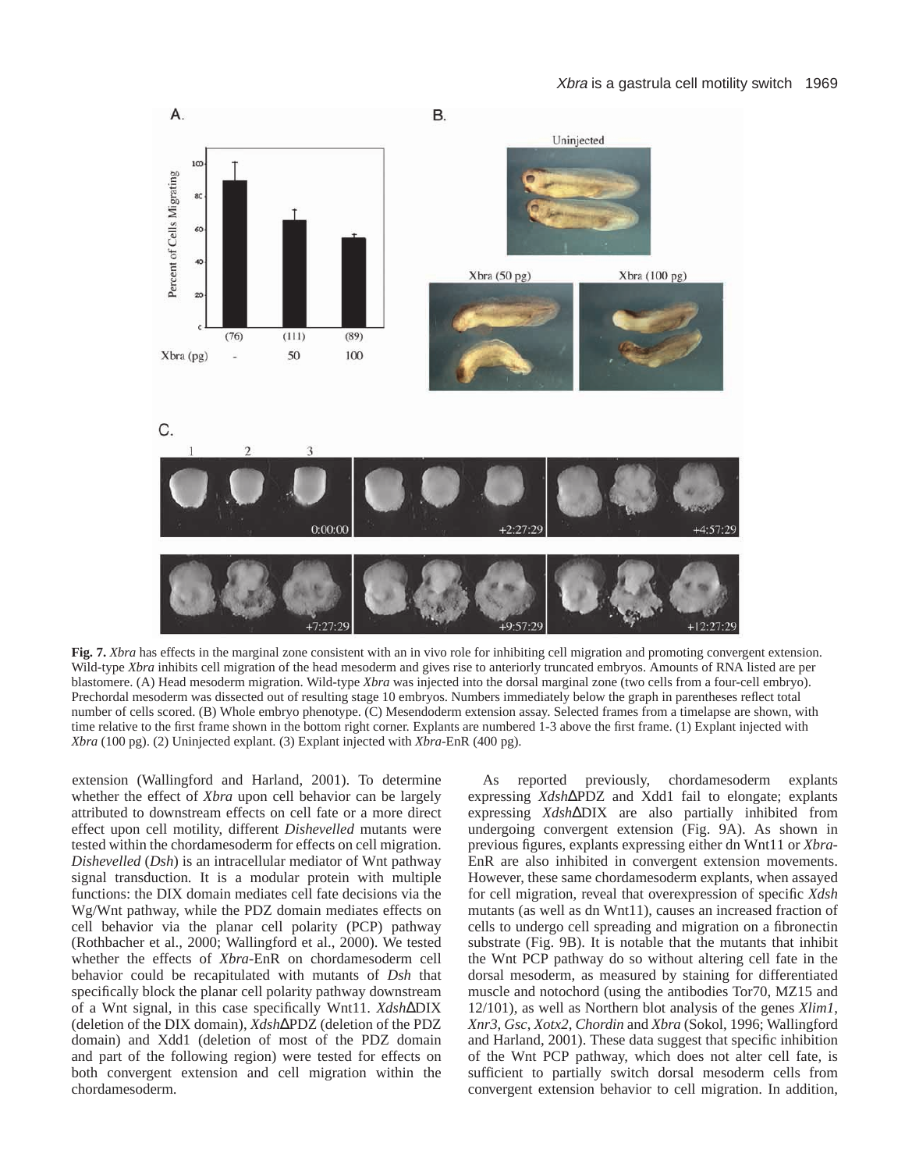

**Fig. 7.** *Xbra* has effects in the marginal zone consistent with an in vivo role for inhibiting cell migration and promoting convergent extension. Wild-type *Xbra* inhibits cell migration of the head mesoderm and gives rise to anteriorly truncated embryos. Amounts of RNA listed are per blastomere. (A) Head mesoderm migration. Wild-type *Xbra* was injected into the dorsal marginal zone (two cells from a four-cell embryo). Prechordal mesoderm was dissected out of resulting stage 10 embryos. Numbers immediately below the graph in parentheses reflect total number of cells scored. (B) Whole embryo phenotype. (C) Mesendoderm extension assay. Selected frames from a timelapse are shown, with time relative to the first frame shown in the bottom right corner. Explants are numbered 1-3 above the first frame. (1) Explant injected with *Xbra* (100 pg). (2) Uninjected explant. (3) Explant injected with *Xbra*-EnR (400 pg).

extension (Wallingford and Harland, 2001). To determine whether the effect of *Xbra* upon cell behavior can be largely attributed to downstream effects on cell fate or a more direct effect upon cell motility, different *Dishevelled* mutants were tested within the chordamesoderm for effects on cell migration. *Dishevelled* (*Dsh*) is an intracellular mediator of Wnt pathway signal transduction. It is a modular protein with multiple functions: the DIX domain mediates cell fate decisions via the Wg/Wnt pathway, while the PDZ domain mediates effects on cell behavior via the planar cell polarity (PCP) pathway (Rothbacher et al., 2000; Wallingford et al., 2000). We tested whether the effects of *Xbra*-EnR on chordamesoderm cell behavior could be recapitulated with mutants of *Dsh* that specifically block the planar cell polarity pathway downstream of a Wnt signal, in this case specifically Wnt11. *Xdsh*∆DIX (deletion of the DIX domain), *Xdsh*∆PDZ (deletion of the PDZ domain) and Xdd1 (deletion of most of the PDZ domain and part of the following region) were tested for effects on both convergent extension and cell migration within the chordamesoderm.

As reported previously, chordamesoderm explants expressing *Xdsh*∆PDZ and Xdd1 fail to elongate; explants expressing *Xdsh*∆DIX are also partially inhibited from undergoing convergent extension (Fig. 9A). As shown in previous figures, explants expressing either dn Wnt11 or *Xbra*-EnR are also inhibited in convergent extension movements. However, these same chordamesoderm explants, when assayed for cell migration, reveal that overexpression of specific *Xdsh* mutants (as well as dn Wnt11), causes an increased fraction of cells to undergo cell spreading and migration on a fibronectin substrate (Fig. 9B). It is notable that the mutants that inhibit the Wnt PCP pathway do so without altering cell fate in the dorsal mesoderm, as measured by staining for differentiated muscle and notochord (using the antibodies Tor70, MZ15 and 12/101), as well as Northern blot analysis of the genes *Xlim1*, *Xnr3*, *Gsc*, *Xotx2*, *Chordin* and *Xbra* (Sokol, 1996; Wallingford and Harland, 2001). These data suggest that specific inhibition of the Wnt PCP pathway, which does not alter cell fate, is sufficient to partially switch dorsal mesoderm cells from convergent extension behavior to cell migration. In addition,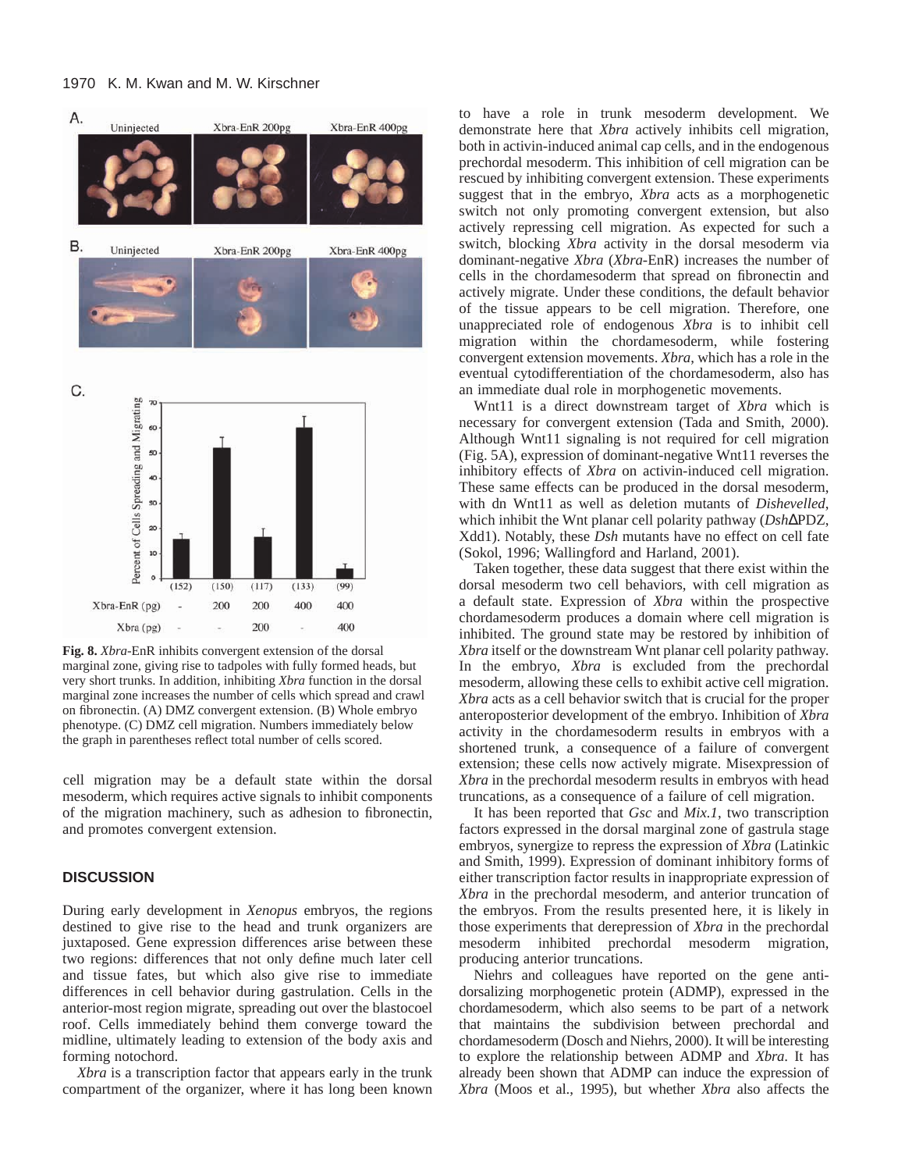

**Fig. 8.** *Xbra*-EnR inhibits convergent extension of the dorsal marginal zone, giving rise to tadpoles with fully formed heads, but very short trunks. In addition, inhibiting *Xbra* function in the dorsal marginal zone increases the number of cells which spread and crawl on fibronectin. (A) DMZ convergent extension. (B) Whole embryo phenotype. (C) DMZ cell migration. Numbers immediately below the graph in parentheses reflect total number of cells scored.

cell migration may be a default state within the dorsal mesoderm, which requires active signals to inhibit components of the migration machinery, such as adhesion to fibronectin, and promotes convergent extension.

#### **DISCUSSION**

During early development in *Xenopus* embryos, the regions destined to give rise to the head and trunk organizers are juxtaposed. Gene expression differences arise between these two regions: differences that not only define much later cell and tissue fates, but which also give rise to immediate differences in cell behavior during gastrulation. Cells in the anterior-most region migrate, spreading out over the blastocoel roof. Cells immediately behind them converge toward the midline, ultimately leading to extension of the body axis and forming notochord.

*Xbra* is a transcription factor that appears early in the trunk compartment of the organizer, where it has long been known to have a role in trunk mesoderm development. We demonstrate here that *Xbra* actively inhibits cell migration, both in activin-induced animal cap cells, and in the endogenous prechordal mesoderm. This inhibition of cell migration can be rescued by inhibiting convergent extension. These experiments suggest that in the embryo, *Xbra* acts as a morphogenetic switch not only promoting convergent extension, but also actively repressing cell migration. As expected for such a switch, blocking *Xbra* activity in the dorsal mesoderm via dominant-negative *Xbra* (*Xbra*-EnR) increases the number of cells in the chordamesoderm that spread on fibronectin and actively migrate. Under these conditions, the default behavior of the tissue appears to be cell migration. Therefore, one unappreciated role of endogenous *Xbra* is to inhibit cell migration within the chordamesoderm, while fostering convergent extension movements. *Xbra*, which has a role in the eventual cytodifferentiation of the chordamesoderm, also has an immediate dual role in morphogenetic movements.

Wnt11 is a direct downstream target of *Xbra* which is necessary for convergent extension (Tada and Smith, 2000). Although Wnt11 signaling is not required for cell migration (Fig. 5A), expression of dominant-negative Wnt11 reverses the inhibitory effects of *Xbra* on activin-induced cell migration. These same effects can be produced in the dorsal mesoderm, with dn Wnt11 as well as deletion mutants of *Dishevelled*, which inhibit the Wnt planar cell polarity pathway (*Dsh*∆PDZ, Xdd1). Notably, these *Dsh* mutants have no effect on cell fate (Sokol, 1996; Wallingford and Harland, 2001).

Taken together, these data suggest that there exist within the dorsal mesoderm two cell behaviors, with cell migration as a default state. Expression of *Xbra* within the prospective chordamesoderm produces a domain where cell migration is inhibited. The ground state may be restored by inhibition of *Xbra* itself or the downstream Wnt planar cell polarity pathway. In the embryo, *Xbra* is excluded from the prechordal mesoderm, allowing these cells to exhibit active cell migration. *Xbra* acts as a cell behavior switch that is crucial for the proper anteroposterior development of the embryo. Inhibition of *Xbra* activity in the chordamesoderm results in embryos with a shortened trunk, a consequence of a failure of convergent extension; these cells now actively migrate. Misexpression of *Xbra* in the prechordal mesoderm results in embryos with head truncations, as a consequence of a failure of cell migration.

It has been reported that *Gsc* and *Mix.1*, two transcription factors expressed in the dorsal marginal zone of gastrula stage embryos, synergize to repress the expression of *Xbra* (Latinkic and Smith, 1999). Expression of dominant inhibitory forms of either transcription factor results in inappropriate expression of *Xbra* in the prechordal mesoderm, and anterior truncation of the embryos. From the results presented here, it is likely in those experiments that derepression of *Xbra* in the prechordal mesoderm inhibited prechordal mesoderm migration, producing anterior truncations.

Niehrs and colleagues have reported on the gene antidorsalizing morphogenetic protein (ADMP), expressed in the chordamesoderm, which also seems to be part of a network that maintains the subdivision between prechordal and chordamesoderm (Dosch and Niehrs, 2000). It will be interesting to explore the relationship between ADMP and *Xbra*. It has already been shown that ADMP can induce the expression of *Xbra* (Moos et al., 1995), but whether *Xbra* also affects the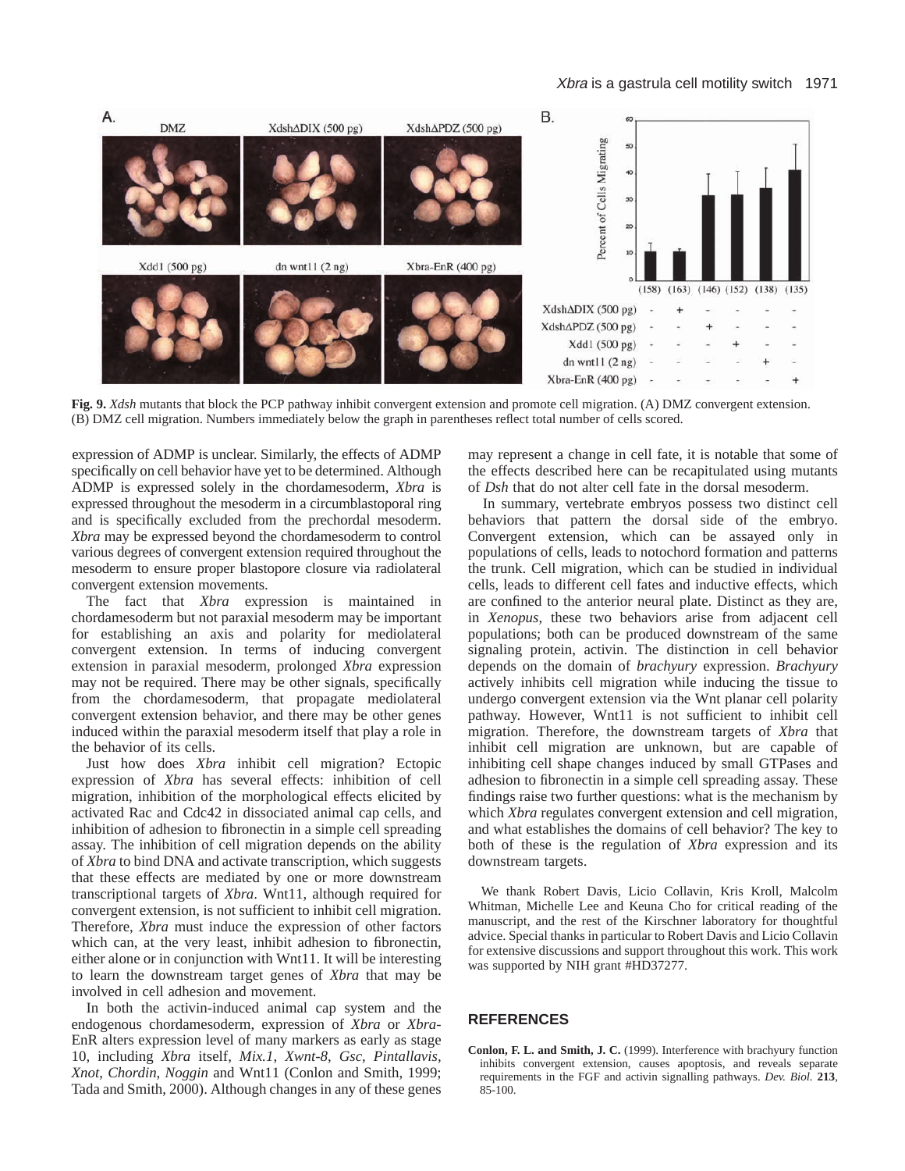

**Fig. 9.** *Xdsh* mutants that block the PCP pathway inhibit convergent extension and promote cell migration. (A) DMZ convergent extension. (B) DMZ cell migration. Numbers immediately below the graph in parentheses reflect total number of cells scored.

expression of ADMP is unclear. Similarly, the effects of ADMP specifically on cell behavior have yet to be determined. Although ADMP is expressed solely in the chordamesoderm, *Xbra* is expressed throughout the mesoderm in a circumblastoporal ring and is specifically excluded from the prechordal mesoderm. *Xbra* may be expressed beyond the chordamesoderm to control various degrees of convergent extension required throughout the mesoderm to ensure proper blastopore closure via radiolateral convergent extension movements.

The fact that *Xbra* expression is maintained in chordamesoderm but not paraxial mesoderm may be important for establishing an axis and polarity for mediolateral convergent extension. In terms of inducing convergent extension in paraxial mesoderm, prolonged *Xbra* expression may not be required. There may be other signals, specifically from the chordamesoderm, that propagate mediolateral convergent extension behavior, and there may be other genes induced within the paraxial mesoderm itself that play a role in the behavior of its cells.

Just how does *Xbra* inhibit cell migration? Ectopic expression of *Xbra* has several effects: inhibition of cell migration, inhibition of the morphological effects elicited by activated Rac and Cdc42 in dissociated animal cap cells, and inhibition of adhesion to fibronectin in a simple cell spreading assay. The inhibition of cell migration depends on the ability of *Xbra* to bind DNA and activate transcription, which suggests that these effects are mediated by one or more downstream transcriptional targets of *Xbra*. Wnt11, although required for convergent extension, is not sufficient to inhibit cell migration. Therefore, *Xbra* must induce the expression of other factors which can, at the very least, inhibit adhesion to fibronectin, either alone or in conjunction with Wnt11. It will be interesting to learn the downstream target genes of *Xbra* that may be involved in cell adhesion and movement.

In both the activin-induced animal cap system and the endogenous chordamesoderm, expression of *Xbra* or *Xbra*-EnR alters expression level of many markers as early as stage 10, including *Xbra* itself, *Mix.1*, *Xwnt-8*, *Gsc*, *Pintallavis*, *Xnot*, *Chordin*, *Noggin* and Wnt11 (Conlon and Smith, 1999; Tada and Smith, 2000). Although changes in any of these genes may represent a change in cell fate, it is notable that some of the effects described here can be recapitulated using mutants of *Dsh* that do not alter cell fate in the dorsal mesoderm.

In summary, vertebrate embryos possess two distinct cell behaviors that pattern the dorsal side of the embryo. Convergent extension, which can be assayed only in populations of cells, leads to notochord formation and patterns the trunk. Cell migration, which can be studied in individual cells, leads to different cell fates and inductive effects, which are confined to the anterior neural plate. Distinct as they are, in *Xenopus*, these two behaviors arise from adjacent cell populations; both can be produced downstream of the same signaling protein, activin. The distinction in cell behavior depends on the domain of *brachyury* expression. *Brachyury* actively inhibits cell migration while inducing the tissue to undergo convergent extension via the Wnt planar cell polarity pathway. However, Wnt11 is not sufficient to inhibit cell migration. Therefore, the downstream targets of *Xbra* that inhibit cell migration are unknown, but are capable of inhibiting cell shape changes induced by small GTPases and adhesion to fibronectin in a simple cell spreading assay. These findings raise two further questions: what is the mechanism by which *Xbra* regulates convergent extension and cell migration, and what establishes the domains of cell behavior? The key to both of these is the regulation of *Xbra* expression and its downstream targets.

We thank Robert Davis, Licio Collavin, Kris Kroll, Malcolm Whitman, Michelle Lee and Keuna Cho for critical reading of the manuscript, and the rest of the Kirschner laboratory for thoughtful advice. Special thanks in particular to Robert Davis and Licio Collavin for extensive discussions and support throughout this work. This work was supported by NIH grant #HD37277.

# **REFERENCES**

**Conlon, F. L. and Smith, J. C.** (1999). Interference with brachyury function inhibits convergent extension, causes apoptosis, and reveals separate requirements in the FGF and activin signalling pathways. *Dev. Biol.* **213**, 85-100.